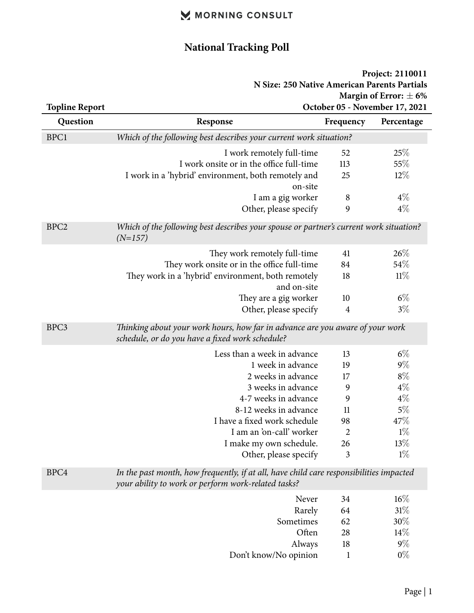# **National Tracking Poll**

| Project: 2110011                             |
|----------------------------------------------|
| N Size: 250 Native American Parents Partials |
| Margin of Error: $\pm 6\%$                   |
| October 05 - November 17, 2021               |

| <b>Topline Report</b> | October 05 - November 17, 2021                                                                                                                 |                |            |
|-----------------------|------------------------------------------------------------------------------------------------------------------------------------------------|----------------|------------|
| Question              | Response                                                                                                                                       | Frequency      | Percentage |
| BPC1                  | Which of the following best describes your current work situation?                                                                             |                |            |
|                       | I work remotely full-time                                                                                                                      | 52             | 25%        |
|                       | I work onsite or in the office full-time                                                                                                       | 113            | 55%        |
|                       | I work in a 'hybrid' environment, both remotely and                                                                                            | 25             | $12\%$     |
|                       | on-site                                                                                                                                        |                |            |
|                       | I am a gig worker                                                                                                                              | 8              | $4\%$      |
|                       | Other, please specify                                                                                                                          | 9              | $4\%$      |
| BPC <sub>2</sub>      | Which of the following best describes your spouse or partner's current work situation?<br>$(N=157)$                                            |                |            |
|                       | They work remotely full-time                                                                                                                   | 41             | 26%        |
|                       | They work onsite or in the office full-time                                                                                                    | 84             | 54%        |
|                       | They work in a 'hybrid' environment, both remotely                                                                                             | 18             | 11%        |
|                       | and on-site                                                                                                                                    |                |            |
|                       | They are a gig worker                                                                                                                          | 10             | $6\%$      |
|                       | Other, please specify                                                                                                                          | $\overline{4}$ | $3\%$      |
| BPC3                  | Thinking about your work hours, how far in advance are you aware of your work<br>schedule, or do you have a fixed work schedule?               |                |            |
|                       | Less than a week in advance                                                                                                                    | 13             | $6\%$      |
|                       | 1 week in advance                                                                                                                              | 19             | $9\%$      |
|                       | 2 weeks in advance                                                                                                                             | 17             | $8\%$      |
|                       | 3 weeks in advance                                                                                                                             | 9              | $4\%$      |
|                       | 4-7 weeks in advance                                                                                                                           | 9              | $4\%$      |
|                       | 8-12 weeks in advance                                                                                                                          | 11             | $5\%$      |
|                       | I have a fixed work schedule                                                                                                                   | 98             | 47\%       |
|                       | I am an 'on-call' worker                                                                                                                       | $\overline{2}$ | $1\%$      |
|                       | I make my own schedule.                                                                                                                        | 26             | 13%        |
|                       | Other, please specify                                                                                                                          | 3              | $1\%$      |
| BPC4                  | In the past month, how frequently, if at all, have child care responsibilities impacted<br>your ability to work or perform work-related tasks? |                |            |
|                       | Never                                                                                                                                          | 34             | 16%        |
|                       | Rarely                                                                                                                                         | 64             | 31%        |
|                       | Sometimes                                                                                                                                      | 62             | 30%        |
|                       | Often                                                                                                                                          | 28             | 14%        |
|                       | Always                                                                                                                                         | 18             | $9\%$      |
|                       | Don't know/No opinion                                                                                                                          | $\mathbf{1}$   | $0\%$      |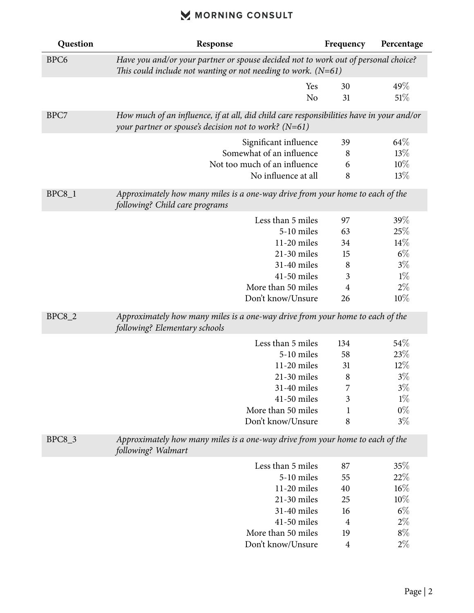| Question         | Response                                                                                                                                              | Frequency      | Percentage |
|------------------|-------------------------------------------------------------------------------------------------------------------------------------------------------|----------------|------------|
| BPC <sub>6</sub> | Have you and/or your partner or spouse decided not to work out of personal choice?<br>This could include not wanting or not needing to work. $(N=61)$ |                |            |
|                  | Yes                                                                                                                                                   | 30             | 49\%       |
|                  | N <sub>o</sub>                                                                                                                                        | 31             | 51%        |
| BPC7             | How much of an influence, if at all, did child care responsibilities have in your and/or<br>your partner or spouse's decision not to work? ( $N=61$ ) |                |            |
|                  | Significant influence                                                                                                                                 | 39             | 64\%       |
|                  | Somewhat of an influence                                                                                                                              | 8              | 13%        |
|                  | Not too much of an influence                                                                                                                          | 6              | 10%        |
|                  | No influence at all                                                                                                                                   | 8              | 13%        |
| $BPC8_1$         | Approximately how many miles is a one-way drive from your home to each of the<br>following? Child care programs                                       |                |            |
|                  | Less than 5 miles                                                                                                                                     | 97             | 39%        |
|                  | 5-10 miles                                                                                                                                            | 63             | 25%        |
|                  | 11-20 miles                                                                                                                                           | 34             | 14%        |
|                  | 21-30 miles                                                                                                                                           | 15             | $6\%$      |
|                  | 31-40 miles                                                                                                                                           | 8              | $3\%$      |
|                  | 41-50 miles                                                                                                                                           | $\mathfrak{Z}$ | $1\%$      |
|                  | More than 50 miles                                                                                                                                    | $\overline{4}$ | $2\%$      |
|                  | Don't know/Unsure                                                                                                                                     | 26             | 10%        |
| <b>BPC8_2</b>    | Approximately how many miles is a one-way drive from your home to each of the<br>following? Elementary schools                                        |                |            |
|                  | Less than 5 miles                                                                                                                                     | 134            | 54\%       |
|                  | 5-10 miles                                                                                                                                            | 58             | 23%        |
|                  | 11-20 miles                                                                                                                                           | 31             | 12%        |
|                  | 21-30 miles                                                                                                                                           | 8              | $3\%$      |
|                  | 31-40 miles                                                                                                                                           | 7              | $3\%$      |
|                  | 41-50 miles                                                                                                                                           | 3              | $1\%$      |
|                  | More than 50 miles                                                                                                                                    | $\mathbf{1}$   | $0\%$      |
|                  | Don't know/Unsure                                                                                                                                     | 8              | $3\%$      |
| <b>BPC8_3</b>    | Approximately how many miles is a one-way drive from your home to each of the<br>following? Walmart                                                   |                |            |
|                  | Less than 5 miles                                                                                                                                     | 87             | 35%        |
|                  | 5-10 miles                                                                                                                                            | 55             | 22%        |
|                  | 11-20 miles                                                                                                                                           | 40             | $16\%$     |
|                  | 21-30 miles                                                                                                                                           | 25             | 10%        |
|                  | 31-40 miles                                                                                                                                           | 16             | $6\%$      |
|                  | 41-50 miles                                                                                                                                           | $\overline{4}$ | $2\%$      |
|                  | More than 50 miles                                                                                                                                    | 19             | $8\%$      |
|                  | Don't know/Unsure                                                                                                                                     | $\overline{4}$ | $2\%$      |
|                  |                                                                                                                                                       |                |            |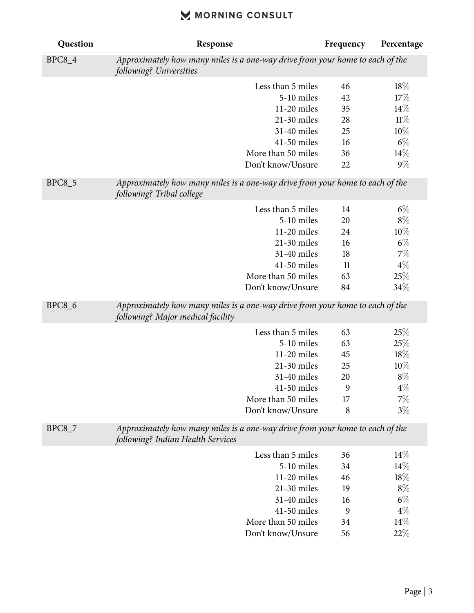| Question      | Response                                                                                                           | Frequency | Percentage |
|---------------|--------------------------------------------------------------------------------------------------------------------|-----------|------------|
| <b>BPC8_4</b> | Approximately how many miles is a one-way drive from your home to each of the<br>following? Universities           |           |            |
|               | Less than 5 miles                                                                                                  | 46        | $18\%$     |
|               | 5-10 miles                                                                                                         | 42        | 17%        |
|               | 11-20 miles                                                                                                        | 35        | 14%        |
|               | 21-30 miles                                                                                                        | 28        | 11%        |
|               | 31-40 miles                                                                                                        | 25        | 10%        |
|               | 41-50 miles                                                                                                        | 16        | $6\%$      |
|               | More than 50 miles                                                                                                 | 36        | 14%        |
|               | Don't know/Unsure                                                                                                  | 22        | $9\%$      |
| <b>BPC8_5</b> | Approximately how many miles is a one-way drive from your home to each of the<br>following? Tribal college         |           |            |
|               | Less than 5 miles                                                                                                  | 14        | $6\%$      |
|               | 5-10 miles                                                                                                         | 20        | $8\%$      |
|               | 11-20 miles                                                                                                        | 24        | 10%        |
|               | 21-30 miles                                                                                                        | 16        | $6\%$      |
|               | 31-40 miles                                                                                                        | 18        | $7\%$      |
|               | 41-50 miles                                                                                                        | 11        | $4\%$      |
|               | More than 50 miles                                                                                                 | 63        | 25%        |
|               | Don't know/Unsure                                                                                                  | 84        | 34%        |
| <b>BPC8_6</b> | Approximately how many miles is a one-way drive from your home to each of the<br>following? Major medical facility |           |            |
|               | Less than 5 miles                                                                                                  | 63        | 25%        |
|               | 5-10 miles                                                                                                         | 63        | 25%        |
|               | 11-20 miles                                                                                                        | 45        | 18%        |
|               | 21-30 miles                                                                                                        | 25        | 10%        |
|               | 31-40 miles                                                                                                        | 20        | $8\%$      |
|               | 41-50 miles                                                                                                        | 9         | $4\%$      |
|               | More than 50 miles                                                                                                 | 17        | $7\%$      |
|               | Don't know/Unsure                                                                                                  | 8         | $3\%$      |
| <b>BPC8_7</b> | Approximately how many miles is a one-way drive from your home to each of the<br>following? Indian Health Services |           |            |
|               | Less than 5 miles                                                                                                  | 36        | $14\%$     |
|               | 5-10 miles                                                                                                         | 34        | $14\%$     |
|               | 11-20 miles                                                                                                        | 46        | 18%        |
|               | 21-30 miles                                                                                                        | 19        | $8\%$      |
|               | 31-40 miles                                                                                                        | 16        | $6\%$      |
|               | 41-50 miles                                                                                                        | 9         | $4\%$      |
|               | More than 50 miles                                                                                                 | 34        | 14%        |
|               | Don't know/Unsure                                                                                                  | 56        | 22%        |
|               |                                                                                                                    |           |            |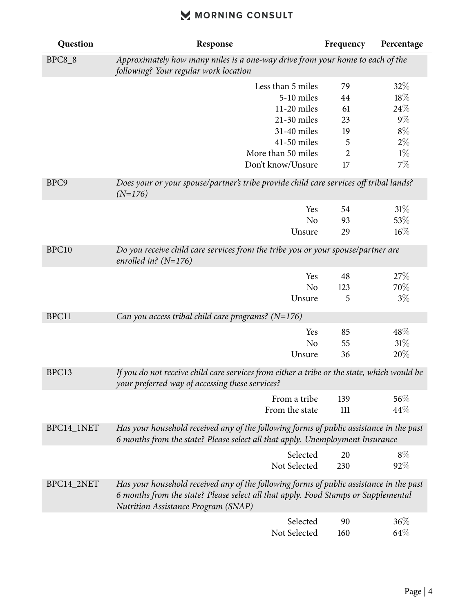| Question      | Response                                                                                                                                                                                                                    | Frequency      | Percentage |
|---------------|-----------------------------------------------------------------------------------------------------------------------------------------------------------------------------------------------------------------------------|----------------|------------|
| <b>BPC8_8</b> | Approximately how many miles is a one-way drive from your home to each of the<br>following? Your regular work location                                                                                                      |                |            |
|               | Less than 5 miles                                                                                                                                                                                                           | 79             | 32\%       |
|               | 5-10 miles                                                                                                                                                                                                                  | 44             | 18%        |
|               | 11-20 miles                                                                                                                                                                                                                 | 61             | $24\%$     |
|               | 21-30 miles                                                                                                                                                                                                                 | 23             | $9\%$      |
|               | 31-40 miles                                                                                                                                                                                                                 | 19             | $8\%$      |
|               | 41-50 miles                                                                                                                                                                                                                 | 5              | $2\%$      |
|               | More than 50 miles                                                                                                                                                                                                          | $\overline{2}$ | $1\%$      |
|               | Don't know/Unsure                                                                                                                                                                                                           | 17             | $7\%$      |
| BPC9          | Does your or your spouse/partner's tribe provide child care services off tribal lands?<br>$(N=176)$                                                                                                                         |                |            |
|               | Yes                                                                                                                                                                                                                         | 54             | 31%        |
|               | No                                                                                                                                                                                                                          | 93             | 53%        |
|               | Unsure                                                                                                                                                                                                                      | 29             | 16%        |
| BPC10         | Do you receive child care services from the tribe you or your spouse/partner are<br>enrolled in? $(N=176)$                                                                                                                  |                |            |
|               | Yes                                                                                                                                                                                                                         | 48             | $27\%$     |
|               | N <sub>o</sub>                                                                                                                                                                                                              | 123            | 70%        |
|               | Unsure                                                                                                                                                                                                                      | 5              | $3\%$      |
| BPC11         | Can you access tribal child care programs? $(N=176)$                                                                                                                                                                        |                |            |
|               | Yes                                                                                                                                                                                                                         | 85             | 48\%       |
|               | N <sub>o</sub>                                                                                                                                                                                                              | 55             | $31\%$     |
|               | Unsure                                                                                                                                                                                                                      | 36             | 20%        |
| BPC13         | If you do not receive child care services from either a tribe or the state, which would be<br>your preferred way of accessing these services?                                                                               |                |            |
|               | From a tribe                                                                                                                                                                                                                | 139            | 56%        |
|               | From the state                                                                                                                                                                                                              | 111            | 44\%       |
| BPC14_1NET    | Has your household received any of the following forms of public assistance in the past<br>6 months from the state? Please select all that apply. Unemployment Insurance                                                    |                |            |
|               | Selected                                                                                                                                                                                                                    | 20             | $8\%$      |
|               | Not Selected                                                                                                                                                                                                                | 230            | 92%        |
| BPC14_2NET    | Has your household received any of the following forms of public assistance in the past<br>6 months from the state? Please select all that apply. Food Stamps or Supplemental<br><b>Nutrition Assistance Program (SNAP)</b> |                |            |
|               | Selected                                                                                                                                                                                                                    | 90             | 36%        |
|               | Not Selected                                                                                                                                                                                                                | 160            | 64%        |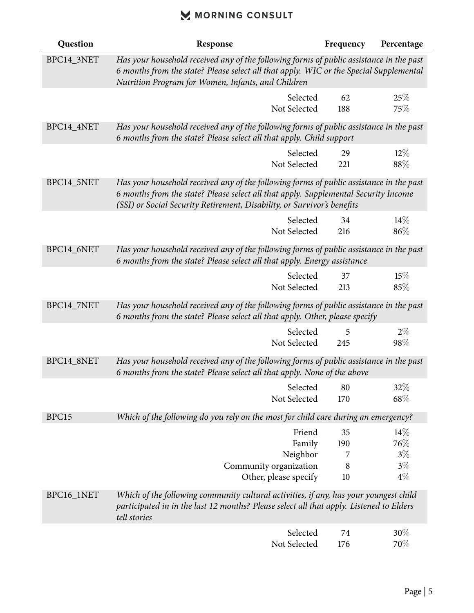| Question   | Response                                                                                                                                                                                                                                                  | Frequency | Percentage     |
|------------|-----------------------------------------------------------------------------------------------------------------------------------------------------------------------------------------------------------------------------------------------------------|-----------|----------------|
| BPC14_3NET | Has your household received any of the following forms of public assistance in the past<br>6 months from the state? Please select all that apply. WIC or the Special Supplemental<br>Nutrition Program for Women, Infants, and Children                   |           |                |
|            | Selected<br>Not Selected                                                                                                                                                                                                                                  | 62<br>188 | 25%<br>75%     |
| BPC14_4NET | Has your household received any of the following forms of public assistance in the past<br>6 months from the state? Please select all that apply. Child support                                                                                           |           |                |
|            | Selected<br>Not Selected                                                                                                                                                                                                                                  | 29<br>221 | $12\%$<br>88%  |
| BPC14_5NET | Has your household received any of the following forms of public assistance in the past<br>6 months from the state? Please select all that apply. Supplemental Security Income<br>(SSI) or Social Security Retirement, Disability, or Survivor's benefits |           |                |
|            | Selected<br>Not Selected                                                                                                                                                                                                                                  | 34<br>216 | $14\%$<br>86%  |
| BPC14_6NET | Has your household received any of the following forms of public assistance in the past<br>6 months from the state? Please select all that apply. Energy assistance                                                                                       |           |                |
|            | Selected<br>Not Selected                                                                                                                                                                                                                                  | 37<br>213 | 15%<br>85%     |
| BPC14_7NET | Has your household received any of the following forms of public assistance in the past<br>6 months from the state? Please select all that apply. Other, please specify                                                                                   |           |                |
|            | Selected<br>Not Selected                                                                                                                                                                                                                                  | 5<br>245  | $2\%$<br>98\%  |
| BPC14_8NET | Has your household received any of the following forms of public assistance in the past<br>6 months from the state? Please select all that apply. None of the above                                                                                       |           |                |
|            | Selected<br>Not Selected                                                                                                                                                                                                                                  | 80<br>170 | $32\%$<br>68\% |
| BPC15      | Which of the following do you rely on the most for child care during an emergency?                                                                                                                                                                        |           |                |
|            | Friend<br>Family                                                                                                                                                                                                                                          | 35<br>190 | $14\%$<br>76\% |
|            | Neighbor                                                                                                                                                                                                                                                  | 7         | $3\%$          |
|            | Community organization<br>Other, please specify                                                                                                                                                                                                           | 8<br>10   | $3\%$<br>$4\%$ |
| BPC16_1NET | Which of the following community cultural activities, if any, has your youngest child<br>participated in in the last 12 months? Please select all that apply. Listened to Elders<br>tell stories                                                          |           |                |
|            | Selected<br>Not Selected                                                                                                                                                                                                                                  | 74<br>176 | 30%<br>70%     |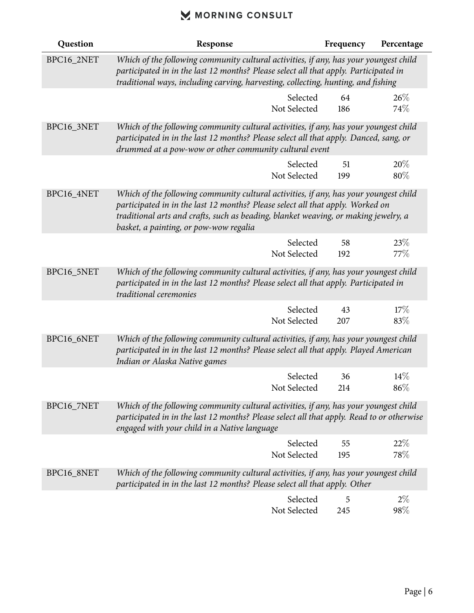| Question   | Response                                                                                                                                                                                                                                                                                                 | Frequency | Percentage    |
|------------|----------------------------------------------------------------------------------------------------------------------------------------------------------------------------------------------------------------------------------------------------------------------------------------------------------|-----------|---------------|
| BPC16_2NET | Which of the following community cultural activities, if any, has your youngest child<br>participated in in the last 12 months? Please select all that apply. Participated in<br>traditional ways, including carving, harvesting, collecting, hunting, and fishing                                       |           |               |
|            | Selected<br>Not Selected                                                                                                                                                                                                                                                                                 | 64<br>186 | 26%<br>74%    |
| BPC16_3NET | Which of the following community cultural activities, if any, has your youngest child<br>participated in in the last 12 months? Please select all that apply. Danced, sang, or<br>drummed at a pow-wow or other community cultural event                                                                 |           |               |
|            | Selected<br>Not Selected                                                                                                                                                                                                                                                                                 | 51<br>199 | 20%<br>80%    |
| BPC16_4NET | Which of the following community cultural activities, if any, has your youngest child<br>participated in in the last 12 months? Please select all that apply. Worked on<br>traditional arts and crafts, such as beading, blanket weaving, or making jewelry, a<br>basket, a painting, or pow-wow regalia |           |               |
|            | Selected<br>Not Selected                                                                                                                                                                                                                                                                                 | 58<br>192 | 23%<br>77\%   |
| BPC16_5NET | Which of the following community cultural activities, if any, has your youngest child<br>participated in in the last 12 months? Please select all that apply. Participated in<br>traditional ceremonies                                                                                                  |           |               |
|            | Selected<br>Not Selected                                                                                                                                                                                                                                                                                 | 43<br>207 | 17%<br>83%    |
| BPC16_6NET | Which of the following community cultural activities, if any, has your youngest child<br>participated in in the last 12 months? Please select all that apply. Played American<br>Indian or Alaska Native games                                                                                           |           |               |
|            | Selected<br>Not Selected                                                                                                                                                                                                                                                                                 | 36<br>214 | 14%<br>$86\%$ |
| BPC16_7NET | Which of the following community cultural activities, if any, has your youngest child<br>participated in in the last 12 months? Please select all that apply. Read to or otherwise<br>engaged with your child in a Native language                                                                       |           |               |
|            | Selected<br>Not Selected                                                                                                                                                                                                                                                                                 | 55<br>195 | 22%<br>78\%   |
| BPC16_8NET | Which of the following community cultural activities, if any, has your youngest child<br>participated in in the last 12 months? Please select all that apply. Other                                                                                                                                      |           |               |
|            | Selected<br>Not Selected                                                                                                                                                                                                                                                                                 | 5<br>245  | $2\%$<br>98\% |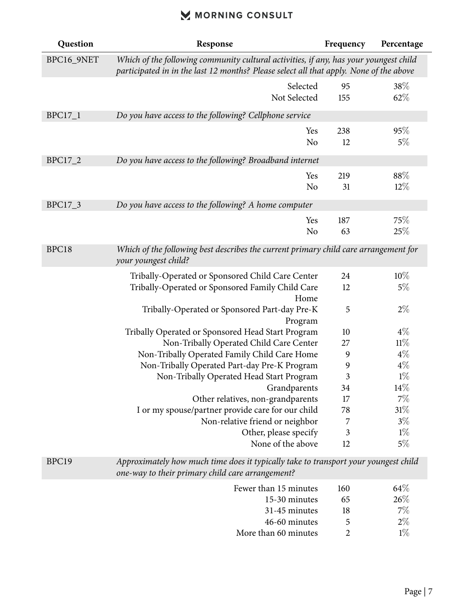| Question       | Response                                                                                                                                                                        | Frequency      | Percentage |
|----------------|---------------------------------------------------------------------------------------------------------------------------------------------------------------------------------|----------------|------------|
| BPC16_9NET     | Which of the following community cultural activities, if any, has your youngest child<br>participated in in the last 12 months? Please select all that apply. None of the above |                |            |
|                | Selected                                                                                                                                                                        | 95             | 38%        |
|                | Not Selected                                                                                                                                                                    | 155            | 62%        |
| <b>BPC17_1</b> | Do you have access to the following? Cellphone service                                                                                                                          |                |            |
|                | Yes                                                                                                                                                                             | 238            | 95%        |
|                | N <sub>o</sub>                                                                                                                                                                  | 12             | $5\%$      |
| BPC17_2        | Do you have access to the following? Broadband internet                                                                                                                         |                |            |
|                | Yes                                                                                                                                                                             | 219            | 88%        |
|                | N <sub>o</sub>                                                                                                                                                                  | 31             | $12\%$     |
| BPC17_3        | Do you have access to the following? A home computer                                                                                                                            |                |            |
|                | Yes                                                                                                                                                                             | 187            | 75%        |
|                | N <sub>o</sub>                                                                                                                                                                  | 63             | 25%        |
| BPC18          | Which of the following best describes the current primary child care arrangement for<br>your youngest child?                                                                    |                |            |
|                | Tribally-Operated or Sponsored Child Care Center                                                                                                                                | 24             | 10%        |
|                | Tribally-Operated or Sponsored Family Child Care                                                                                                                                | 12             | 5%         |
|                | Home                                                                                                                                                                            |                |            |
|                | Tribally-Operated or Sponsored Part-day Pre-K                                                                                                                                   | 5              | $2\%$      |
|                | Program                                                                                                                                                                         |                |            |
|                | Tribally Operated or Sponsored Head Start Program                                                                                                                               | 10             | $4\%$      |
|                | Non-Tribally Operated Child Care Center                                                                                                                                         | 27             | 11%        |
|                | Non-Tribally Operated Family Child Care Home                                                                                                                                    | 9              | $4\%$      |
|                | Non-Tribally Operated Part-day Pre-K Program                                                                                                                                    | 9              | $4\%$      |
|                | Non-Tribally Operated Head Start Program                                                                                                                                        | 3              | $1\%$      |
|                | Grandparents                                                                                                                                                                    | 34             | $14\%$     |
|                | Other relatives, non-grandparents                                                                                                                                               | 17             | 7%         |
|                | I or my spouse/partner provide care for our child                                                                                                                               | 78             | 31%        |
|                | Non-relative friend or neighbor                                                                                                                                                 | 7              | $3\%$      |
|                | Other, please specify                                                                                                                                                           | 3              | $1\%$      |
|                | None of the above                                                                                                                                                               | 12             | $5\%$      |
| BPC19          | Approximately how much time does it typically take to transport your youngest child<br>one-way to their primary child care arrangement?                                         |                |            |
|                | Fewer than 15 minutes                                                                                                                                                           | 160            | 64\%       |
|                | 15-30 minutes                                                                                                                                                                   | 65             | 26\%       |
|                | 31-45 minutes                                                                                                                                                                   | 18             | $7\%$      |
|                | 46-60 minutes                                                                                                                                                                   | 5              | $2\%$      |
|                | More than 60 minutes                                                                                                                                                            | $\overline{2}$ | $1\%$      |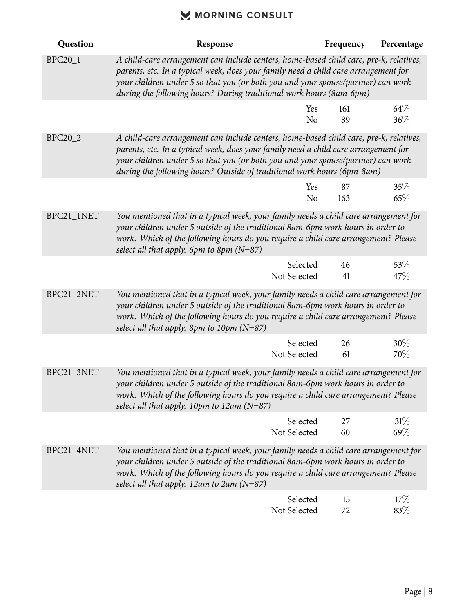| Question       | Response                                                                                                                                                                                                                                                                                                                                     | Frequency | Percentage     |
|----------------|----------------------------------------------------------------------------------------------------------------------------------------------------------------------------------------------------------------------------------------------------------------------------------------------------------------------------------------------|-----------|----------------|
| <b>BPC20_1</b> | A child-care arrangement can include centers, home-based child care, pre-k, relatives,<br>parents, etc. In a typical week, does your family need a child care arrangement for<br>your children under 5 so that you (or both you and your spouse/partner) can work<br>during the following hours? During traditional work hours (8am-6pm)     |           |                |
|                | Yes<br>N <sub>o</sub>                                                                                                                                                                                                                                                                                                                        | 161<br>89 | 64\%<br>36%    |
| BPC20_2        | A child-care arrangement can include centers, home-based child care, pre-k, relatives,<br>parents, etc. In a typical week, does your family need a child care arrangement for<br>your children under 5 so that you (or both you and your spouse/partner) can work<br>during the following hours? Outside of traditional work hours (6pm-8am) |           |                |
|                | Yes<br>N <sub>o</sub>                                                                                                                                                                                                                                                                                                                        | 87<br>163 | 35%<br>65%     |
| BPC21_1NET     | You mentioned that in a typical week, your family needs a child care arrangement for<br>your children under 5 outside of the traditional 8am-6pm work hours in order to<br>work. Which of the following hours do you require a child care arrangement? Please<br>select all that apply. 6pm to 8pm $(N=87)$                                  |           |                |
|                | Selected<br>Not Selected                                                                                                                                                                                                                                                                                                                     | 46<br>41  | 53\%<br>47\%   |
| BPC21_2NET     | You mentioned that in a typical week, your family needs a child care arrangement for<br>your children under 5 outside of the traditional 8am-6pm work hours in order to<br>work. Which of the following hours do you require a child care arrangement? Please<br>select all that apply. 8pm to 10pm $(N=87)$                                 |           |                |
|                | Selected<br>Not Selected                                                                                                                                                                                                                                                                                                                     | 26<br>61  | $30\%$<br>70\% |
| BPC21_3NET     | You mentioned that in a typical week, your family needs a child care arrangement for<br>your children under 5 outside of the traditional 8am-6pm work hours in order to<br>work. Which of the following hours do you require a child care arrangement? Please<br>select all that apply. 10pm to 12am (N=87)                                  |           |                |
|                | Selected<br>Not Selected                                                                                                                                                                                                                                                                                                                     | 27<br>60  | 31%<br>69%     |
| BPC21_4NET     | You mentioned that in a typical week, your family needs a child care arrangement for<br>your children under 5 outside of the traditional 8am-6pm work hours in order to<br>work. Which of the following hours do you require a child care arrangement? Please<br>select all that apply. 12am to 2am ( $N=87$ )                               |           |                |
|                | Selected<br>Not Selected                                                                                                                                                                                                                                                                                                                     | 15<br>72  | 17%<br>83\%    |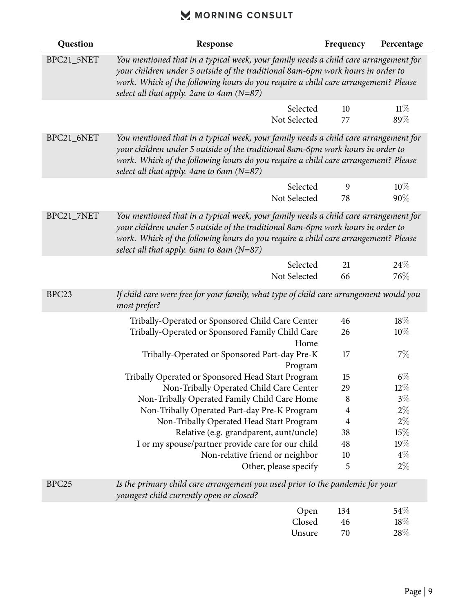| Question          | Response                                                                                                                                                                                                                                                                                                          | Frequency      | Percentage |
|-------------------|-------------------------------------------------------------------------------------------------------------------------------------------------------------------------------------------------------------------------------------------------------------------------------------------------------------------|----------------|------------|
| BPC21_5NET        | You mentioned that in a typical week, your family needs a child care arrangement for<br>your children under 5 outside of the traditional 8am-6pm work hours in order to<br>work. Which of the following hours do you require a child care arrangement? Please<br>select all that apply. 2am to 4am $(N=87)$       |                |            |
|                   | Selected<br>Not Selected                                                                                                                                                                                                                                                                                          | 10<br>77       | 11%<br>89% |
| BPC21_6NET        | You mentioned that in a typical week, your family needs a child care arrangement for<br>your children under 5 outside of the traditional 8am-6pm work hours in order to<br>work. Which of the following hours do you require a child care arrangement? Please<br>select all that apply. $4am$ to $6am$ ( $N=87$ ) |                |            |
|                   | Selected<br>Not Selected                                                                                                                                                                                                                                                                                          | 9<br>78        | 10%<br>90% |
| BPC21_7NET        | You mentioned that in a typical week, your family needs a child care arrangement for<br>your children under 5 outside of the traditional 8am-6pm work hours in order to<br>work. Which of the following hours do you require a child care arrangement? Please<br>select all that apply. 6am to 8am $(N=87)$       |                |            |
|                   | Selected                                                                                                                                                                                                                                                                                                          | 21             | 24\%       |
|                   | Not Selected                                                                                                                                                                                                                                                                                                      | 66             | 76%        |
| BPC <sub>23</sub> | If child care were free for your family, what type of child care arrangement would you<br>most prefer?                                                                                                                                                                                                            |                |            |
|                   | Tribally-Operated or Sponsored Child Care Center<br>Tribally-Operated or Sponsored Family Child Care<br>Home                                                                                                                                                                                                      | 46<br>26       | 18%<br>10% |
|                   | Tribally-Operated or Sponsored Part-day Pre-K<br>Program                                                                                                                                                                                                                                                          | 17             | $7\%$      |
|                   | Tribally Operated or Sponsored Head Start Program                                                                                                                                                                                                                                                                 | 15             | $6\%$      |
|                   | Non-Tribally Operated Child Care Center                                                                                                                                                                                                                                                                           | 29             | $12\%$     |
|                   | Non-Tribally Operated Family Child Care Home                                                                                                                                                                                                                                                                      | 8              | $3\%$      |
|                   | Non-Tribally Operated Part-day Pre-K Program                                                                                                                                                                                                                                                                      | $\overline{4}$ | $2\%$      |
|                   | Non-Tribally Operated Head Start Program                                                                                                                                                                                                                                                                          | $\overline{4}$ | $2\%$      |
|                   | Relative (e.g. grandparent, aunt/uncle)                                                                                                                                                                                                                                                                           | 38             | 15%        |
|                   | I or my spouse/partner provide care for our child                                                                                                                                                                                                                                                                 | 48             | 19%        |
|                   | Non-relative friend or neighbor                                                                                                                                                                                                                                                                                   | 10             | $4\%$      |
|                   | Other, please specify                                                                                                                                                                                                                                                                                             | 5              | $2\%$      |
| BPC <sub>25</sub> | Is the primary child care arrangement you used prior to the pandemic for your<br>youngest child currently open or closed?                                                                                                                                                                                         |                |            |
|                   | Open                                                                                                                                                                                                                                                                                                              | 134            | 54\%       |
|                   | Closed                                                                                                                                                                                                                                                                                                            | 46             | 18%        |
|                   | Unsure                                                                                                                                                                                                                                                                                                            | 70             | 28\%       |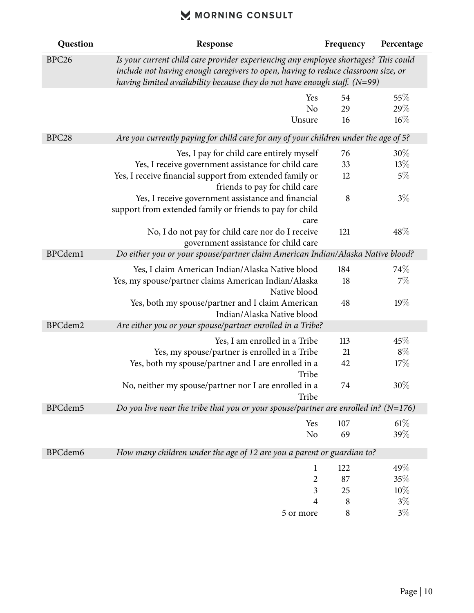| Question          | Response                                                                                                                                                                                                                                                | Frequency | Percentage |
|-------------------|---------------------------------------------------------------------------------------------------------------------------------------------------------------------------------------------------------------------------------------------------------|-----------|------------|
| BPC <sub>26</sub> | Is your current child care provider experiencing any employee shortages? This could<br>include not having enough caregivers to open, having to reduce classroom size, or<br>having limited availability because they do not have enough staff. $(N=99)$ |           |            |
|                   | Yes                                                                                                                                                                                                                                                     | 54        | 55%        |
|                   | N <sub>o</sub>                                                                                                                                                                                                                                          | 29        | $29\%$     |
|                   | Unsure                                                                                                                                                                                                                                                  | 16        | $16\%$     |
| BPC <sub>28</sub> | Are you currently paying for child care for any of your children under the age of 5?                                                                                                                                                                    |           |            |
|                   | Yes, I pay for child care entirely myself                                                                                                                                                                                                               | 76        | $30\%$     |
|                   | Yes, I receive government assistance for child care                                                                                                                                                                                                     | 33        | 13%        |
|                   | Yes, I receive financial support from extended family or                                                                                                                                                                                                | 12        | 5%         |
|                   | friends to pay for child care                                                                                                                                                                                                                           |           |            |
|                   | Yes, I receive government assistance and financial<br>support from extended family or friends to pay for child<br>care                                                                                                                                  | 8         | $3\%$      |
|                   | No, I do not pay for child care nor do I receive<br>government assistance for child care                                                                                                                                                                | 121       | 48\%       |
| BPCdem1           | Do either you or your spouse/partner claim American Indian/Alaska Native blood?                                                                                                                                                                         |           |            |
|                   | Yes, I claim American Indian/Alaska Native blood                                                                                                                                                                                                        | 184       | 74%        |
|                   | Yes, my spouse/partner claims American Indian/Alaska<br>Native blood                                                                                                                                                                                    | 18        | $7\%$      |
|                   | Yes, both my spouse/partner and I claim American<br>Indian/Alaska Native blood                                                                                                                                                                          | 48        | 19%        |
| BPCdem2           | Are either you or your spouse/partner enrolled in a Tribe?                                                                                                                                                                                              |           |            |
|                   | Yes, I am enrolled in a Tribe                                                                                                                                                                                                                           | 113       | 45%        |
|                   | Yes, my spouse/partner is enrolled in a Tribe                                                                                                                                                                                                           | 21        | $8\%$      |
|                   | Yes, both my spouse/partner and I are enrolled in a<br>Tribe                                                                                                                                                                                            | 42        | 17%        |
|                   | No, neither my spouse/partner nor I are enrolled in a<br>Tribe                                                                                                                                                                                          | 74        | 30%        |
| BPCdem5           | Do you live near the tribe that you or your spouse/partner are enrolled in? ( $N=176$ )                                                                                                                                                                 |           |            |
|                   | Yes                                                                                                                                                                                                                                                     | 107       | $61\%$     |
|                   | N <sub>o</sub>                                                                                                                                                                                                                                          | 69        | 39%        |
| BPCdem6           | How many children under the age of 12 are you a parent or guardian to?                                                                                                                                                                                  |           |            |
|                   | $\mathbf{1}$                                                                                                                                                                                                                                            | 122       | 49%        |
|                   | $\overline{2}$                                                                                                                                                                                                                                          | 87        | 35%        |
|                   | 3                                                                                                                                                                                                                                                       | 25        | 10%        |
|                   | 4                                                                                                                                                                                                                                                       | 8         | $3\%$      |
|                   | 5 or more                                                                                                                                                                                                                                               | $\,8\,$   | $3\%$      |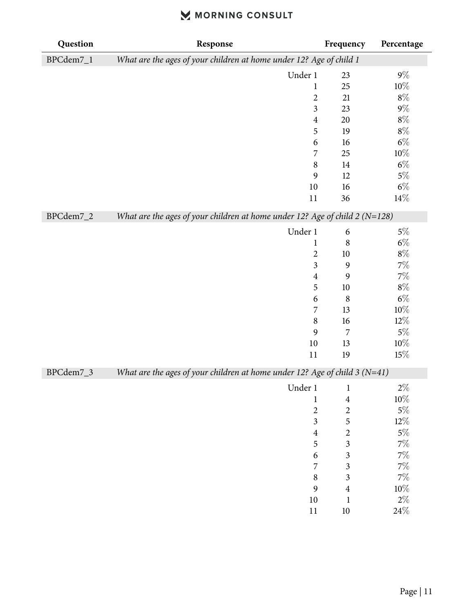| Question  | Response                                                                      | Frequency               | Percentage |
|-----------|-------------------------------------------------------------------------------|-------------------------|------------|
| BPCdem7_1 | What are the ages of your children at home under 12? Age of child 1           |                         |            |
|           | Under 1                                                                       | 23                      | $9\%$      |
|           | $\mathbf{1}$                                                                  | 25                      | $10\%$     |
|           | $\overline{\mathbf{c}}$                                                       | 21                      | $8\%$      |
|           | $\mathfrak{Z}$                                                                | 23                      | $9\%$      |
|           | $\overline{\mathbf{4}}$                                                       | 20                      | $8\%$      |
|           | 5                                                                             | 19                      | $8\%$      |
|           | 6                                                                             | 16                      | $6\%$      |
|           | 7                                                                             | 25                      | $10\%$     |
|           | $\,$ 8 $\,$                                                                   | 14                      | $6\%$      |
|           | 9                                                                             | 12                      | $5\%$      |
|           | 10                                                                            | 16                      | $6\%$      |
|           | 11                                                                            | 36                      | $14\%$     |
| BPCdem7_2 | What are the ages of your children at home under 12? Age of child $2 (N=128)$ |                         |            |
|           | Under 1                                                                       | 6                       | $5\%$      |
|           | $\mathbf{1}$                                                                  | $\,8\,$                 | $6\%$      |
|           | $\overline{c}$                                                                | 10                      | $8\%$      |
|           | $\mathfrak{Z}$                                                                | 9                       | $7\%$      |
|           | $\overline{4}$                                                                | 9                       | $7\%$      |
|           | 5                                                                             | 10                      | $8\%$      |
|           | 6                                                                             | $\,8\,$                 | $6\%$      |
|           | 7                                                                             | 13                      | $10\%$     |
|           | $\,8\,$                                                                       | 16                      | $12\%$     |
|           | 9                                                                             | 7                       | $5\%$      |
|           | 10                                                                            | 13                      | $10\%$     |
|           | 11                                                                            | 19                      | $15\%$     |
| BPCdem7_3 | What are the ages of your children at home under 12? Age of child $3 (N=41)$  |                         |            |
|           | Under 1                                                                       | $\mathbf 1$             | $2\%$      |
|           | $\mathbf{1}$                                                                  | $\overline{\mathbf{4}}$ | $10\%$     |
|           | $\overline{c}$                                                                | $\overline{c}$          | $5\%$      |
|           | $\overline{\mathbf{3}}$                                                       | 5                       | $12\%$     |
|           | $\overline{4}$                                                                | $\overline{\mathbf{c}}$ | $5\%$      |
|           | 5                                                                             | $\overline{\mathbf{3}}$ | $7\%$      |
|           | 6                                                                             | $\overline{\mathbf{3}}$ | $7\%$      |
|           | 7                                                                             | 3                       | $7\%$      |
|           | $\,8\,$                                                                       | 3                       | $7\%$      |
|           | 9                                                                             | $\overline{4}$          | $10\%$     |
|           | $10\,$                                                                        | $\mathbf 1$             | $2\%$      |
|           | 11                                                                            | $10\,$                  | $24\%$     |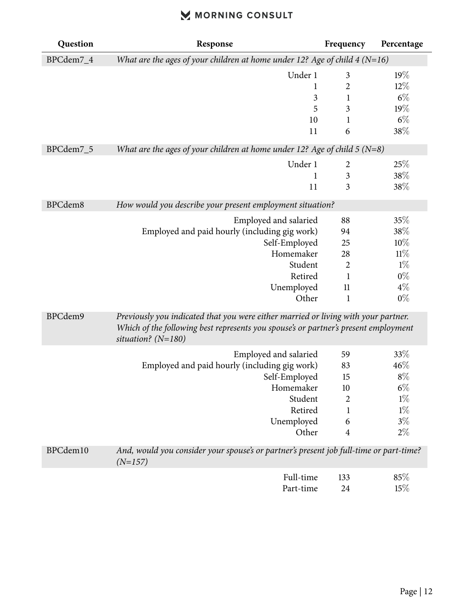| Question  | Response                                                                                                                                                                                          | Frequency      | Percentage |
|-----------|---------------------------------------------------------------------------------------------------------------------------------------------------------------------------------------------------|----------------|------------|
| BPCdem7_4 | What are the ages of your children at home under 12? Age of child $4 (N=16)$                                                                                                                      |                |            |
|           | Under 1                                                                                                                                                                                           | 3              | 19%        |
|           | $\mathbf 1$                                                                                                                                                                                       | 2              | $12\%$     |
|           | $\mathfrak{Z}$                                                                                                                                                                                    | $\mathbf 1$    | $6\%$      |
|           | 5                                                                                                                                                                                                 | 3              | 19%        |
|           | 10                                                                                                                                                                                                | 1              | $6\%$      |
|           | 11                                                                                                                                                                                                | 6              | $38\%$     |
| BPCdem7_5 | What are the ages of your children at home under 12? Age of child $5 (N=8)$                                                                                                                       |                |            |
|           | Under 1                                                                                                                                                                                           | 2              | 25%        |
|           | 1                                                                                                                                                                                                 | $\mathfrak{Z}$ | $38\%$     |
|           | 11                                                                                                                                                                                                | 3              | 38%        |
| BPCdem8   | How would you describe your present employment situation?                                                                                                                                         |                |            |
|           | Employed and salaried                                                                                                                                                                             | 88             | 35%        |
|           | Employed and paid hourly (including gig work)                                                                                                                                                     | 94             | $38\%$     |
|           | Self-Employed                                                                                                                                                                                     | 25             | 10%        |
|           | Homemaker                                                                                                                                                                                         | 28             | 11%        |
|           | Student                                                                                                                                                                                           | $\overline{2}$ | $1\%$      |
|           | Retired                                                                                                                                                                                           | $\mathbf{1}$   | $0\%$      |
|           | Unemployed                                                                                                                                                                                        | 11             | $4\%$      |
|           | Other                                                                                                                                                                                             | $\mathbf{1}$   | $0\%$      |
| BPCdem9   | Previously you indicated that you were either married or living with your partner.<br>Which of the following best represents you spouse's or partner's present employment<br>situation? $(N=180)$ |                |            |
|           | Employed and salaried                                                                                                                                                                             | 59             | 33%        |
|           | Employed and paid hourly (including gig work)                                                                                                                                                     | 83             | 46%        |
|           | Self-Employed                                                                                                                                                                                     | 15             | $8\%$      |
|           | Homemaker                                                                                                                                                                                         | 10             | $6\%$      |
|           | Student                                                                                                                                                                                           | 2              | $1\%$      |
|           | Retired                                                                                                                                                                                           | 1              | $1\%$      |
|           | Unemployed                                                                                                                                                                                        | 6              | $3\%$      |
|           | Other                                                                                                                                                                                             | $\overline{4}$ | $2\%$      |
| BPCdem10  | And, would you consider your spouse's or partner's present job full-time or part-time?<br>$(N=157)$                                                                                               |                |            |
|           | Full-time                                                                                                                                                                                         | 133            | 85%        |
|           | Part-time                                                                                                                                                                                         | 24             | 15%        |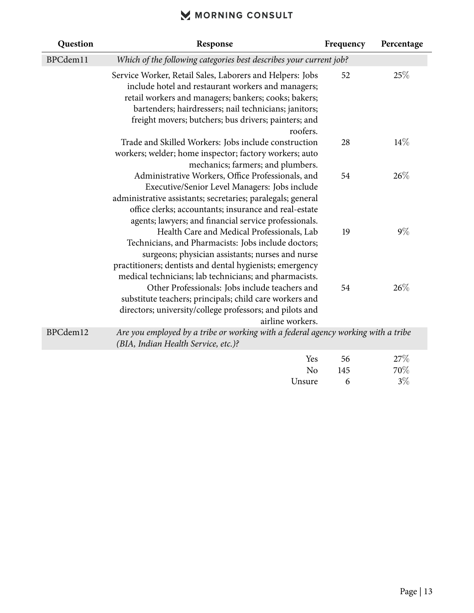| Question | Response                                                                                                                                                                                                                                                                                            | Frequency | Percentage |
|----------|-----------------------------------------------------------------------------------------------------------------------------------------------------------------------------------------------------------------------------------------------------------------------------------------------------|-----------|------------|
| BPCdem11 | Which of the following categories best describes your current job?                                                                                                                                                                                                                                  |           |            |
|          | Service Worker, Retail Sales, Laborers and Helpers: Jobs<br>include hotel and restaurant workers and managers;<br>retail workers and managers; bankers; cooks; bakers;<br>bartenders; hairdressers; nail technicians; janitors;<br>freight movers; butchers; bus drivers; painters; and<br>roofers. | 52        | 25%        |
|          | Trade and Skilled Workers: Jobs include construction<br>workers; welder; home inspector; factory workers; auto<br>mechanics; farmers; and plumbers.                                                                                                                                                 | 28        | 14%        |
|          | Administrative Workers, Office Professionals, and<br>Executive/Senior Level Managers: Jobs include<br>administrative assistants; secretaries; paralegals; general<br>office clerks; accountants; insurance and real-estate<br>agents; lawyers; and financial service professionals.                 | 54        | 26%        |
|          | Health Care and Medical Professionals, Lab<br>Technicians, and Pharmacists: Jobs include doctors;<br>surgeons; physician assistants; nurses and nurse<br>practitioners; dentists and dental hygienists; emergency<br>medical technicians; lab technicians; and pharmacists.                         | 19        | $9\%$      |
|          | Other Professionals: Jobs include teachers and<br>substitute teachers; principals; child care workers and<br>directors; university/college professors; and pilots and<br>airline workers.                                                                                                           | 54        | 26%        |
| BPCdem12 | Are you employed by a tribe or working with a federal agency working with a tribe<br>(BIA, Indian Health Service, etc.)?                                                                                                                                                                            |           |            |

| Yes      | 56  | 27%   |
|----------|-----|-------|
| $\rm No$ | 145 | 70%   |
| Unsure   | 6   | $3\%$ |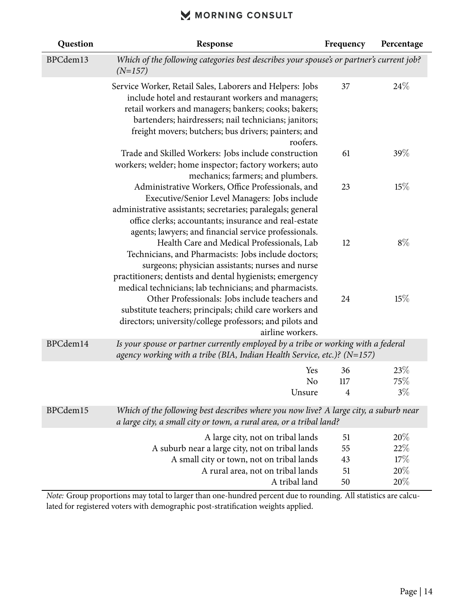| Question | Response                                                                                                                                                                                                                                                                                            | Frequency            | Percentage               |
|----------|-----------------------------------------------------------------------------------------------------------------------------------------------------------------------------------------------------------------------------------------------------------------------------------------------------|----------------------|--------------------------|
| BPCdem13 | Which of the following categories best describes your spouse's or partner's current job?<br>$(N=157)$                                                                                                                                                                                               |                      |                          |
|          | Service Worker, Retail Sales, Laborers and Helpers: Jobs<br>include hotel and restaurant workers and managers;<br>retail workers and managers; bankers; cooks; bakers;<br>bartenders; hairdressers; nail technicians; janitors;<br>freight movers; butchers; bus drivers; painters; and<br>roofers. | 37                   | 24%                      |
|          | Trade and Skilled Workers: Jobs include construction<br>workers; welder; home inspector; factory workers; auto<br>mechanics; farmers; and plumbers.                                                                                                                                                 | 61                   | 39%                      |
|          | Administrative Workers, Office Professionals, and<br>Executive/Senior Level Managers: Jobs include<br>administrative assistants; secretaries; paralegals; general<br>office clerks; accountants; insurance and real-estate<br>agents; lawyers; and financial service professionals.                 | 23                   | 15%                      |
|          | Health Care and Medical Professionals, Lab<br>Technicians, and Pharmacists: Jobs include doctors;<br>surgeons; physician assistants; nurses and nurse<br>practitioners; dentists and dental hygienists; emergency<br>medical technicians; lab technicians; and pharmacists.                         | 12                   | $8\%$                    |
|          | Other Professionals: Jobs include teachers and<br>substitute teachers; principals; child care workers and<br>directors; university/college professors; and pilots and<br>airline workers.                                                                                                           | 24                   | 15%                      |
| BPCdem14 | Is your spouse or partner currently employed by a tribe or working with a federal<br>agency working with a tribe (BIA, Indian Health Service, etc.)? ( $N=157$ )                                                                                                                                    |                      |                          |
|          | Yes<br>N <sub>o</sub><br>Unsure                                                                                                                                                                                                                                                                     | 36<br>117<br>4       | 23%<br>75%<br>$3\%$      |
| BPCdem15 | Which of the following best describes where you now live? A large city, a suburb near<br>a large city, a small city or town, a rural area, or a tribal land?                                                                                                                                        |                      |                          |
|          | A large city, not on tribal lands<br>A suburb near a large city, not on tribal lands<br>A small city or town, not on tribal lands<br>A rural area, not on tribal lands                                                                                                                              | 51<br>55<br>43<br>51 | 20%<br>22%<br>17%<br>20% |
|          | A tribal land                                                                                                                                                                                                                                                                                       | 50                   | 20%                      |

*Note:* Group proportions may total to larger than one-hundred percent due to rounding. All statistics are calculated for registered voters with demographic post-stratification weights applied.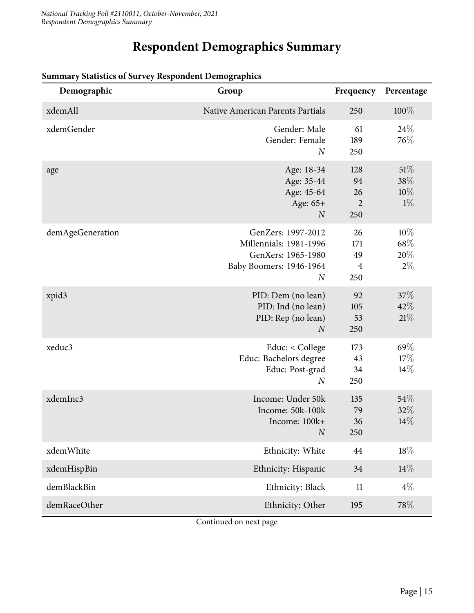# **Respondent Demographics Summary**

| Demographic      | Group                                                                                                           | Frequency                                | Percentage                    |
|------------------|-----------------------------------------------------------------------------------------------------------------|------------------------------------------|-------------------------------|
| xdemAll          | Native American Parents Partials                                                                                | 250                                      | $100\%$                       |
| xdemGender       | Gender: Male<br>Gender: Female<br>$\overline{N}$                                                                | 61<br>189<br>250                         | 24\%<br>76\%                  |
| age              | Age: 18-34<br>Age: 35-44<br>Age: 45-64<br>Age: 65+<br>$\boldsymbol{N}$                                          | 128<br>94<br>26<br>$\overline{2}$<br>250 | 51%<br>38%<br>$10\%$<br>$1\%$ |
| demAgeGeneration | GenZers: 1997-2012<br>Millennials: 1981-1996<br>GenXers: 1965-1980<br>Baby Boomers: 1946-1964<br>$\overline{N}$ | 26<br>171<br>49<br>$\overline{4}$<br>250 | 10%<br>68%<br>20%<br>$2\%$    |
| xpid3            | PID: Dem (no lean)<br>PID: Ind (no lean)<br>PID: Rep (no lean)<br>$\boldsymbol{N}$                              | 92<br>105<br>53<br>250                   | 37%<br>42%<br>21%             |
| xeduc3           | Educ: $<$ College<br>Educ: Bachelors degree<br>Educ: Post-grad<br>$\overline{N}$                                | 173<br>43<br>34<br>250                   | 69%<br>17%<br>$14\%$          |
| xdemInc3         | Income: Under 50k<br>Income: 50k-100k<br>Income: 100k+<br>$\cal N$                                              | 135<br>79<br>36<br>250                   | 54%<br>32%<br>14%             |
| xdemWhite        | Ethnicity: White                                                                                                | 44                                       | $18\%$                        |
| xdemHispBin      | Ethnicity: Hispanic                                                                                             | 34                                       | $14\%$                        |
| demBlackBin      | Ethnicity: Black                                                                                                | 11                                       | $4\%$                         |
| demRaceOther     | Ethnicity: Other                                                                                                | 195                                      | 78%                           |

#### **Summary Statistics of Survey Respondent Demographics**

Continued on next page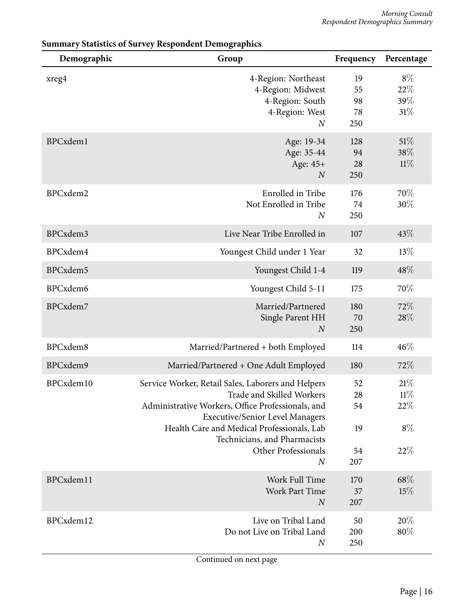| Demographic | Group                                                                                                                                                                                                                                                                                                   | Frequency                         | Percentage                        |
|-------------|---------------------------------------------------------------------------------------------------------------------------------------------------------------------------------------------------------------------------------------------------------------------------------------------------------|-----------------------------------|-----------------------------------|
| xreg4       | 4-Region: Northeast<br>4-Region: Midwest<br>4-Region: South<br>4-Region: West<br>$\boldsymbol{N}$                                                                                                                                                                                                       | 19<br>55<br>98<br>78<br>250       | $8\%$<br>22%<br>39%<br>31%        |
| BPCxdem1    | Age: 19-34<br>Age: 35-44<br>Age: 45+<br>$\boldsymbol{N}$                                                                                                                                                                                                                                                | 128<br>94<br>28<br>250            | 51%<br>38\%<br>11%                |
| BPCxdem2    | Enrolled in Tribe<br>Not Enrolled in Tribe<br>$\boldsymbol{N}$                                                                                                                                                                                                                                          | 176<br>74<br>250                  | 70%<br>30%                        |
| BPCxdem3    | Live Near Tribe Enrolled in                                                                                                                                                                                                                                                                             | 107                               | 43\%                              |
| BPCxdem4    | Youngest Child under 1 Year                                                                                                                                                                                                                                                                             | 32                                | 13%                               |
| BPCxdem5    | Youngest Child 1-4                                                                                                                                                                                                                                                                                      | 119                               | 48%                               |
| BPCxdem6    | Youngest Child 5-11                                                                                                                                                                                                                                                                                     | 175                               | 70%                               |
| BPCxdem7    | Married/Partnered<br>Single Parent HH<br>$\boldsymbol{N}$                                                                                                                                                                                                                                               | 180<br>70<br>250                  | 72%<br>28%                        |
| BPCxdem8    | Married/Partnered + both Employed                                                                                                                                                                                                                                                                       | 114                               | 46%                               |
| BPCxdem9    | Married/Partnered + One Adult Employed                                                                                                                                                                                                                                                                  | 180                               | 72%                               |
| BPCxdem10   | Service Worker, Retail Sales, Laborers and Helpers<br>Trade and Skilled Workers<br>Administrative Workers, Office Professionals, and<br><b>Executive/Senior Level Managers</b><br>Health Care and Medical Professionals, Lab<br>Technicians, and Pharmacists<br>Other Professionals<br>$\boldsymbol{N}$ | 52<br>28<br>54<br>19<br>54<br>207 | 21%<br>11%<br>22%<br>$8\%$<br>22% |
| BPCxdem11   | Work Full Time<br><b>Work Part Time</b><br>$\boldsymbol{N}$                                                                                                                                                                                                                                             | 170<br>37<br>207                  | 68\%<br>15%                       |
| BPCxdem12   | Live on Tribal Land<br>Do not Live on Tribal Land<br>$\boldsymbol{N}$                                                                                                                                                                                                                                   | 50<br>200<br>250                  | 20%<br>80%                        |

#### **Summary Statistics of Survey Respondent Demographics**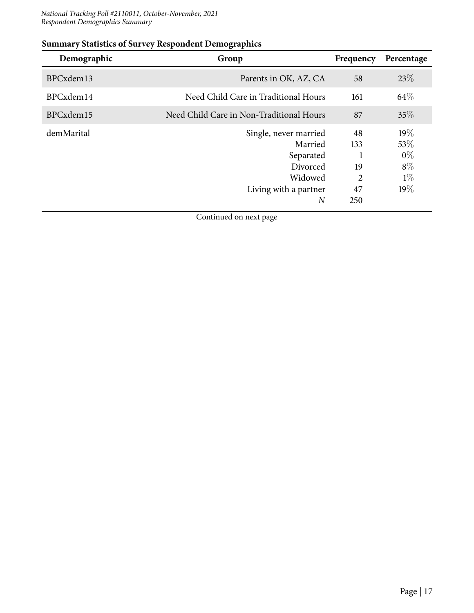#### *National Tracking Poll #2110011, October-November, 2021 Respondent Demographics Summary*

| Demographic | Group                                    | Frequency | Percentage |
|-------------|------------------------------------------|-----------|------------|
| BPCxdem13   | Parents in OK, AZ, CA                    | 58        | 23\%       |
| BPCxdem14   | Need Child Care in Traditional Hours     | 161       | 64\%       |
| BPCxdem15   | Need Child Care in Non-Traditional Hours | 87        | 35%        |
| demMarital  | Single, never married                    | 48        | 19%        |
|             | Married                                  | 133       | 53\%       |
|             | Separated                                |           | $0\%$      |
|             | Divorced                                 | 19        | $8\%$      |
|             | Widowed                                  | 2         | $1\%$      |
|             | Living with a partner                    | 47        | 19%        |
|             | $_{N}$                                   | 250       |            |

#### **Summary Statistics of Survey Respondent Demographics**

Continued on next page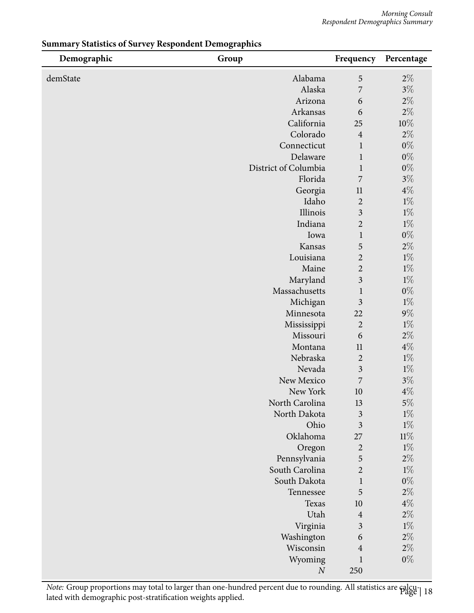| Demographic | Group                | Frequency               | Percentage     |
|-------------|----------------------|-------------------------|----------------|
| demState    | Alabama              | 5                       | $2\%$          |
|             | Alaska               | 7                       | $3\%$          |
|             | Arizona              | 6                       | $2\%$          |
|             | Arkansas             | 6                       | $2\%$          |
|             | California           | 25                      | $10\%$         |
|             | Colorado             | $\overline{4}$          | $2\%$          |
|             | Connecticut          | $\mathbf{1}$            | $0\%$          |
|             | Delaware             | 1                       | $0\%$          |
|             | District of Columbia | $\mathbf{1}$            | $0\%$          |
|             | Florida              | 7<br>11                 | $3\%$<br>$4\%$ |
|             | Georgia<br>Idaho     | $\overline{2}$          | $1\%$          |
|             | Illinois             | $\overline{\mathbf{3}}$ | $1\%$          |
|             | Indiana              | $\overline{2}$          | $1\%$          |
|             | Iowa                 | $\mathbf{1}$            | $0\%$          |
|             | Kansas               | 5                       | $2\%$          |
|             | Louisiana            | $\overline{2}$          | $1\%$          |
|             | Maine                | $\overline{2}$          | $1\%$          |
|             | Maryland             | $\overline{\mathbf{3}}$ | $1\%$          |
|             | Massachusetts        | $\mathbf{1}$            | $0\%$          |
|             | Michigan             | $\overline{\mathbf{3}}$ | $1\%$          |
|             | Minnesota            | 22                      | $9\%$          |
|             | Mississippi          | $\overline{2}$          | $1\%$          |
|             | Missouri             | 6                       | $2\%$          |
|             | Montana              | 11                      | $4\%$          |
|             | Nebraska             | $\overline{2}$          | $1\%$          |
|             | Nevada<br>New Mexico | $\mathfrak{Z}$<br>7     | $1\%$<br>$3\%$ |
|             | New York             | 10                      | $4\%$          |
|             | North Carolina       | 13                      | $5\%$          |
|             | North Dakota         | $\mathfrak{Z}$          | $1\%$          |
|             | Ohio                 | $\overline{\mathbf{3}}$ | $1\%$          |
|             | Oklahoma             | 27                      | $11\%$         |
|             | Oregon               | $\overline{c}$          | $1\%$          |
|             | Pennsylvania         | 5                       | $2\%$          |
|             | South Carolina       | $\overline{2}$          | $1\%$          |
|             | South Dakota         | $\mathbf{1}$            | $0\%$          |
|             | Tennessee            | 5                       | $2\%$          |
|             | Texas                | 10                      | $4\%$          |
|             | Utah                 | $\overline{4}$          | $2\%$          |
|             | Virginia             | $\overline{\mathbf{3}}$ | $1\%$          |
|             | Washington           | 6                       | $2\%$          |
|             | Wisconsin            | $\overline{4}$          | $2\%$          |
|             | Wyoming<br>$\cal N$  | $\mathbf{1}$<br>250     | $0\%$          |

#### **Summary Statistics of Survey Respondent Demographics**

*Note: Group proportions may total to larger than one-hundred percent due to rounding. All statistics are calcu-<br>lated with demographic post-stratification weights applied.*